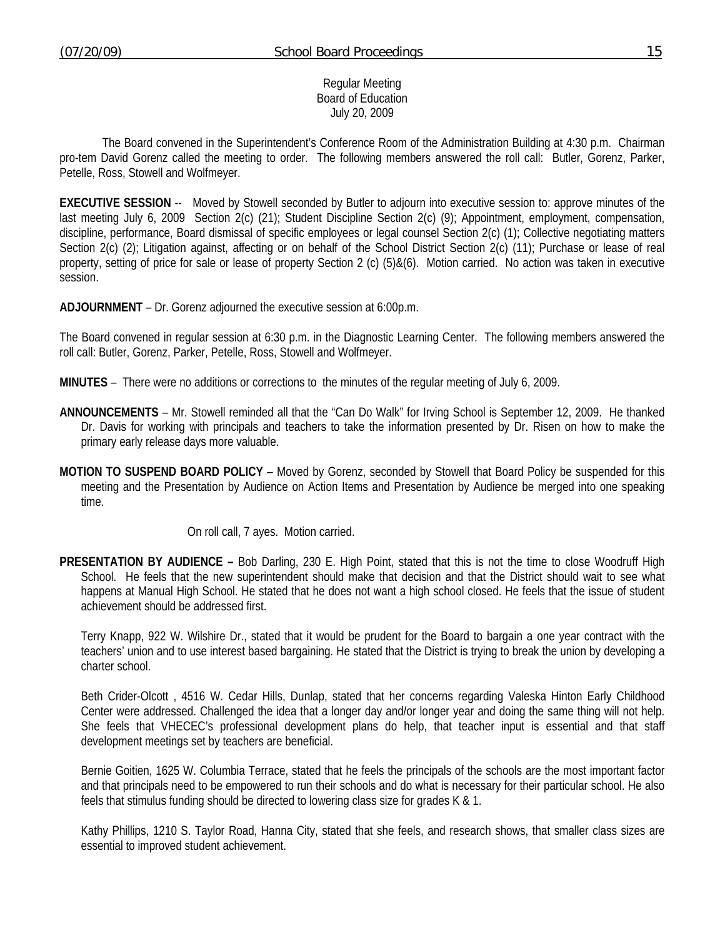### Regular Meeting Board of Education July 20, 2009

 The Board convened in the Superintendent's Conference Room of the Administration Building at 4:30 p.m. Chairman pro-tem David Gorenz called the meeting to order. The following members answered the roll call: Butler, Gorenz, Parker, Petelle, Ross, Stowell and Wolfmeyer.

**EXECUTIVE SESSION** -- Moved by Stowell seconded by Butler to adjourn into executive session to: approve minutes of the last meeting July 6, 2009 Section 2(c) (21); Student Discipline Section 2(c) (9); Appointment, employment, compensation, discipline, performance, Board dismissal of specific employees or legal counsel Section 2(c) (1); Collective negotiating matters Section 2(c) (2); Litigation against, affecting or on behalf of the School District Section 2(c) (11); Purchase or lease of real property, setting of price for sale or lease of property Section 2 (c) (5)&(6). Motion carried. No action was taken in executive session.

**ADJOURNMENT** – Dr. Gorenz adjourned the executive session at 6:00p.m.

The Board convened in regular session at 6:30 p.m. in the Diagnostic Learning Center. The following members answered the roll call: Butler, Gorenz, Parker, Petelle, Ross, Stowell and Wolfmeyer.

**MINUTES** – There were no additions or corrections to the minutes of the regular meeting of July 6, 2009.

- **ANNOUNCEMENTS** Mr. Stowell reminded all that the "Can Do Walk" for Irving School is September 12, 2009. He thanked Dr. Davis for working with principals and teachers to take the information presented by Dr. Risen on how to make the primary early release days more valuable.
- **MOTION TO SUSPEND BOARD POLICY** Moved by Gorenz, seconded by Stowell that Board Policy be suspended for this meeting and the Presentation by Audience on Action Items and Presentation by Audience be merged into one speaking time.

On roll call, 7 ayes. Motion carried.

**PRESENTATION BY AUDIENCE –** Bob Darling, 230 E. High Point, stated that this is not the time to close Woodruff High School. He feels that the new superintendent should make that decision and that the District should wait to see what happens at Manual High School. He stated that he does not want a high school closed. He feels that the issue of student achievement should be addressed first.

 Terry Knapp, 922 W. Wilshire Dr., stated that it would be prudent for the Board to bargain a one year contract with the teachers' union and to use interest based bargaining. He stated that the District is trying to break the union by developing a charter school.

 Beth Crider-Olcott , 4516 W. Cedar Hills, Dunlap, stated that her concerns regarding Valeska Hinton Early Childhood Center were addressed. Challenged the idea that a longer day and/or longer year and doing the same thing will not help. She feels that VHECEC's professional development plans do help, that teacher input is essential and that staff development meetings set by teachers are beneficial.

 Bernie Goitien, 1625 W. Columbia Terrace, stated that he feels the principals of the schools are the most important factor and that principals need to be empowered to run their schools and do what is necessary for their particular school. He also feels that stimulus funding should be directed to lowering class size for grades K & 1.

 Kathy Phillips, 1210 S. Taylor Road, Hanna City, stated that she feels, and research shows, that smaller class sizes are essential to improved student achievement.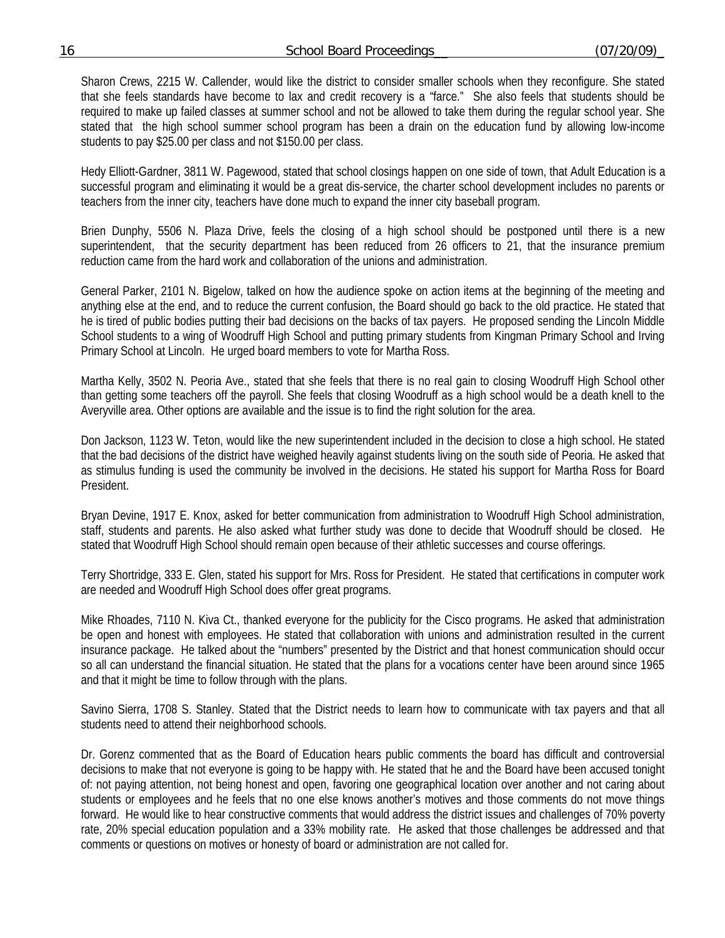Sharon Crews, 2215 W. Callender, would like the district to consider smaller schools when they reconfigure. She stated that she feels standards have become to lax and credit recovery is a "farce." She also feels that students should be required to make up failed classes at summer school and not be allowed to take them during the regular school year. She stated that the high school summer school program has been a drain on the education fund by allowing low-income students to pay \$25.00 per class and not \$150.00 per class.

 Hedy Elliott-Gardner, 3811 W. Pagewood, stated that school closings happen on one side of town, that Adult Education is a successful program and eliminating it would be a great dis-service, the charter school development includes no parents or teachers from the inner city, teachers have done much to expand the inner city baseball program.

 Brien Dunphy, 5506 N. Plaza Drive, feels the closing of a high school should be postponed until there is a new superintendent, that the security department has been reduced from 26 officers to 21, that the insurance premium reduction came from the hard work and collaboration of the unions and administration.

 General Parker, 2101 N. Bigelow, talked on how the audience spoke on action items at the beginning of the meeting and anything else at the end, and to reduce the current confusion, the Board should go back to the old practice. He stated that he is tired of public bodies putting their bad decisions on the backs of tax payers. He proposed sending the Lincoln Middle School students to a wing of Woodruff High School and putting primary students from Kingman Primary School and Irving Primary School at Lincoln. He urged board members to vote for Martha Ross.

 Martha Kelly, 3502 N. Peoria Ave., stated that she feels that there is no real gain to closing Woodruff High School other than getting some teachers off the payroll. She feels that closing Woodruff as a high school would be a death knell to the Averyville area. Other options are available and the issue is to find the right solution for the area.

 Don Jackson, 1123 W. Teton, would like the new superintendent included in the decision to close a high school. He stated that the bad decisions of the district have weighed heavily against students living on the south side of Peoria. He asked that as stimulus funding is used the community be involved in the decisions. He stated his support for Martha Ross for Board President.

 Bryan Devine, 1917 E. Knox, asked for better communication from administration to Woodruff High School administration, staff, students and parents. He also asked what further study was done to decide that Woodruff should be closed. He stated that Woodruff High School should remain open because of their athletic successes and course offerings.

 Terry Shortridge, 333 E. Glen, stated his support for Mrs. Ross for President. He stated that certifications in computer work are needed and Woodruff High School does offer great programs.

 Mike Rhoades, 7110 N. Kiva Ct., thanked everyone for the publicity for the Cisco programs. He asked that administration be open and honest with employees. He stated that collaboration with unions and administration resulted in the current insurance package. He talked about the "numbers" presented by the District and that honest communication should occur so all can understand the financial situation. He stated that the plans for a vocations center have been around since 1965 and that it might be time to follow through with the plans.

 Savino Sierra, 1708 S. Stanley. Stated that the District needs to learn how to communicate with tax payers and that all students need to attend their neighborhood schools.

 Dr. Gorenz commented that as the Board of Education hears public comments the board has difficult and controversial decisions to make that not everyone is going to be happy with. He stated that he and the Board have been accused tonight of: not paying attention, not being honest and open, favoring one geographical location over another and not caring about students or employees and he feels that no one else knows another's motives and those comments do not move things forward. He would like to hear constructive comments that would address the district issues and challenges of 70% poverty rate, 20% special education population and a 33% mobility rate. He asked that those challenges be addressed and that comments or questions on motives or honesty of board or administration are not called for.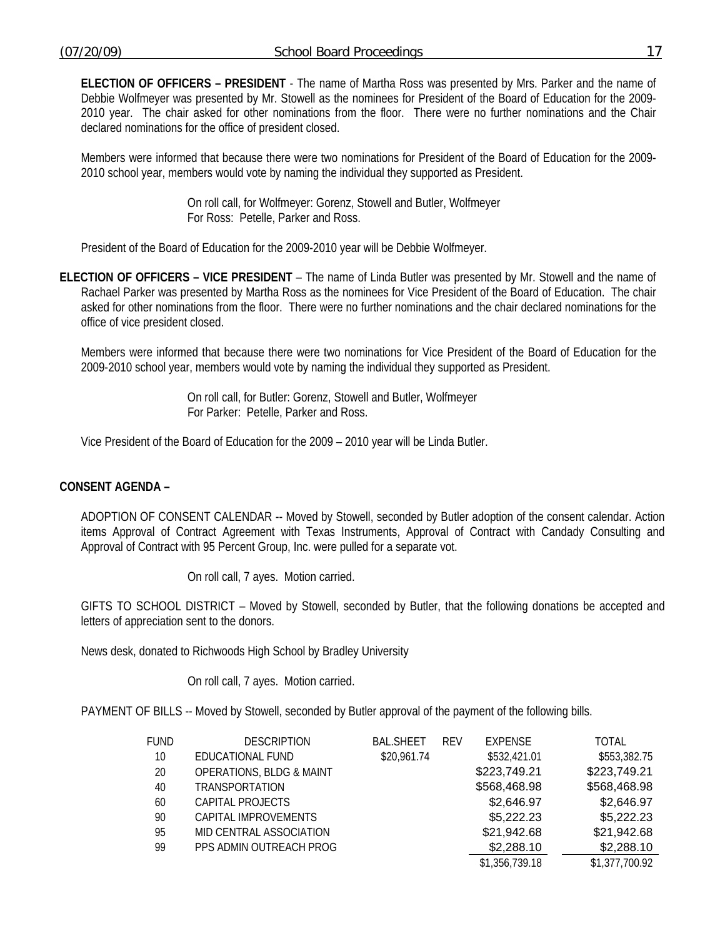**ELECTION OF OFFICERS – PRESIDENT** - The name of Martha Ross was presented by Mrs. Parker and the name of Debbie Wolfmeyer was presented by Mr. Stowell as the nominees for President of the Board of Education for the 2009- 2010 year. The chair asked for other nominations from the floor. There were no further nominations and the Chair declared nominations for the office of president closed.

Members were informed that because there were two nominations for President of the Board of Education for the 2009- 2010 school year, members would vote by naming the individual they supported as President.

> On roll call, for Wolfmeyer: Gorenz, Stowell and Butler, Wolfmeyer For Ross: Petelle, Parker and Ross.

President of the Board of Education for the 2009-2010 year will be Debbie Wolfmeyer.

**ELECTION OF OFFICERS – VICE PRESIDENT** – The name of Linda Butler was presented by Mr. Stowell and the name of Rachael Parker was presented by Martha Ross as the nominees for Vice President of the Board of Education. The chair asked for other nominations from the floor. There were no further nominations and the chair declared nominations for the office of vice president closed.

Members were informed that because there were two nominations for Vice President of the Board of Education for the 2009-2010 school year, members would vote by naming the individual they supported as President.

> On roll call, for Butler: Gorenz, Stowell and Butler, Wolfmeyer For Parker: Petelle, Parker and Ross.

Vice President of the Board of Education for the 2009 – 2010 year will be Linda Butler.

# **CONSENT AGENDA –**

ADOPTION OF CONSENT CALENDAR -- Moved by Stowell, seconded by Butler adoption of the consent calendar. Action items Approval of Contract Agreement with Texas Instruments, Approval of Contract with Candady Consulting and Approval of Contract with 95 Percent Group, Inc. were pulled for a separate vot.

On roll call, 7 ayes. Motion carried.

GIFTS TO SCHOOL DISTRICT – Moved by Stowell, seconded by Butler, that the following donations be accepted and letters of appreciation sent to the donors.

News desk, donated to Richwoods High School by Bradley University

On roll call, 7 ayes. Motion carried.

PAYMENT OF BILLS -- Moved by Stowell, seconded by Butler approval of the payment of the following bills.

| <b>FUND</b> | <b>DESCRIPTION</b>                  | <b>BAL.SHEET</b> | <b>RFV</b> | <b>EXPENSE</b> | TOTAL          |
|-------------|-------------------------------------|------------------|------------|----------------|----------------|
| 10          | EDUCATIONAL FUND                    | \$20,961.74      |            | \$532,421.01   | \$553,382.75   |
| 20          | <b>OPERATIONS, BLDG &amp; MAINT</b> |                  |            | \$223,749.21   | \$223,749.21   |
| 40          | TRANSPORTATION                      |                  |            | \$568,468.98   | \$568,468.98   |
| 60          | CAPITAL PROJECTS                    |                  |            | \$2,646.97     | \$2,646.97     |
| 90          | CAPITAL IMPROVEMENTS                |                  |            | \$5,222.23     | \$5,222.23     |
| 95          | MID CENTRAL ASSOCIATION             |                  |            | \$21,942.68    | \$21,942.68    |
| 99          | PPS ADMIN OUTREACH PROG             |                  |            | \$2,288.10     | \$2,288.10     |
|             |                                     |                  |            | \$1,356,739.18 | \$1,377,700.92 |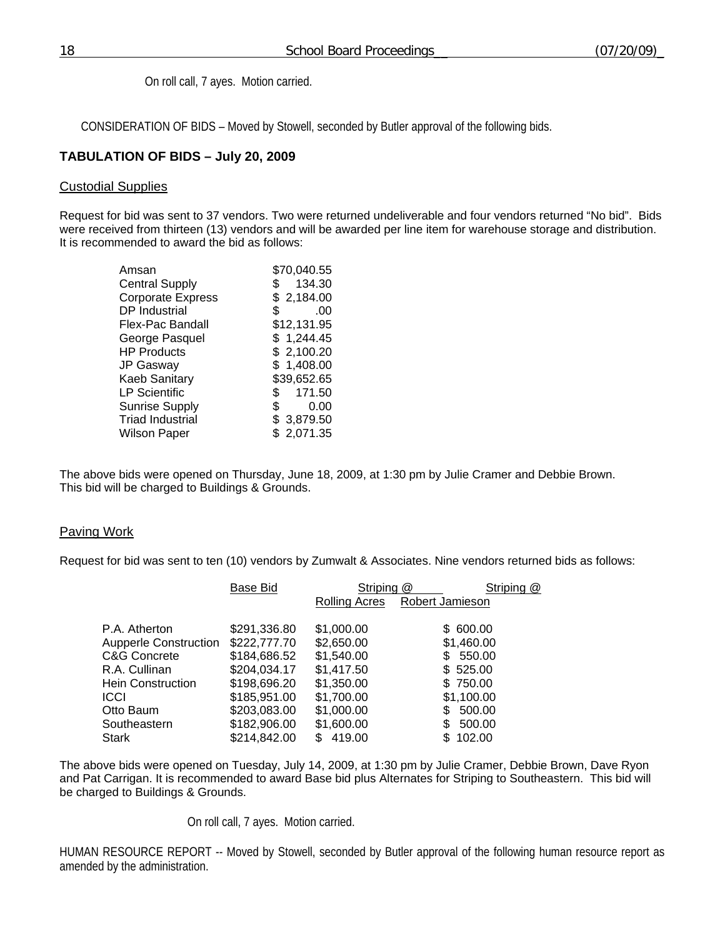On roll call, 7 ayes. Motion carried.

CONSIDERATION OF BIDS – Moved by Stowell, seconded by Butler approval of the following bids.

# **TABULATION OF BIDS – July 20, 2009**

#### Custodial Supplies

Request for bid was sent to 37 vendors. Two were returned undeliverable and four vendors returned "No bid". Bids were received from thirteen (13) vendors and will be awarded per line item for warehouse storage and distribution. It is recommended to award the bid as follows:

| 134.30<br>\$2,184.00 |
|----------------------|
|                      |
|                      |
| .00                  |
| \$12,131.95          |
| \$1,244.45           |
| \$2,100.20           |
| \$1,408.00           |
| \$39,652.65          |
| 171.50<br>\$         |
| 0.00                 |
| \$3,879.50           |
| \$2,071.35           |
|                      |

The above bids were opened on Thursday, June 18, 2009, at 1:30 pm by Julie Cramer and Debbie Brown. This bid will be charged to Buildings & Grounds.

### Paving Work

Request for bid was sent to ten (10) vendors by Zumwalt & Associates. Nine vendors returned bids as follows:

|                              | Base Bid     | Striping @    | Striping @      |
|------------------------------|--------------|---------------|-----------------|
|                              |              | Rolling Acres | Robert Jamieson |
| P.A. Atherton                | \$291,336.80 | \$1,000.00    | 600.00<br>\$.   |
| <b>Aupperle Construction</b> | \$222,777.70 | \$2,650.00    | \$1,460.00      |
| C&G Concrete                 | \$184,686.52 | \$1,540.00    | 550.00<br>\$.   |
| R.A. Cullinan                | \$204,034.17 | \$1,417.50    | \$525.00        |
| Hein Construction            | \$198,696.20 | \$1,350.00    | \$750.00        |
| ICCI                         | \$185,951.00 | \$1,700.00    | \$1,100.00      |
| Otto Baum                    | \$203,083.00 | \$1,000.00    | \$<br>500.00    |
| Southeastern                 | \$182,906.00 | \$1,600.00    | 500.00          |
| Stark                        | \$214,842.00 | 419.00        | 102.00          |

The above bids were opened on Tuesday, July 14, 2009, at 1:30 pm by Julie Cramer, Debbie Brown, Dave Ryon and Pat Carrigan. It is recommended to award Base bid plus Alternates for Striping to Southeastern. This bid will be charged to Buildings & Grounds.

On roll call, 7 ayes. Motion carried.

HUMAN RESOURCE REPORT -- Moved by Stowell, seconded by Butler approval of the following human resource report as amended by the administration.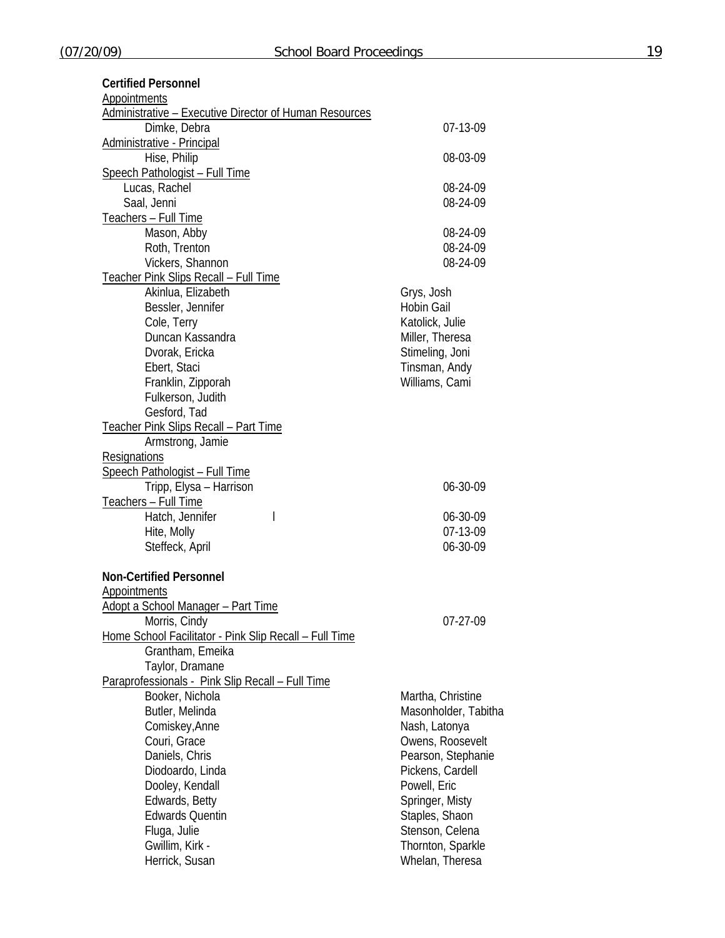**Certified Personnel** 

| <b>Appointments</b>                                           |                      |
|---------------------------------------------------------------|----------------------|
| <b>Administrative - Executive Director of Human Resources</b> |                      |
| Dimke, Debra                                                  | 07-13-09             |
| <b>Administrative - Principal</b>                             |                      |
| Hise, Philip                                                  | 08-03-09             |
| <b>Speech Pathologist - Full Time</b>                         |                      |
| Lucas, Rachel                                                 | 08-24-09             |
| Saal, Jenni                                                   | 08-24-09             |
|                                                               |                      |
| Teachers - Full Time                                          |                      |
| Mason, Abby                                                   | 08-24-09             |
| Roth, Trenton                                                 | 08-24-09             |
| Vickers, Shannon                                              | 08-24-09             |
| <b>Teacher Pink Slips Recall - Full Time</b>                  |                      |
| Akinlua, Elizabeth                                            | Grys, Josh           |
| Bessler, Jennifer                                             | <b>Hobin Gail</b>    |
| Cole, Terry                                                   | Katolick, Julie      |
| Duncan Kassandra                                              | Miller, Theresa      |
| Dvorak, Ericka                                                | Stimeling, Joni      |
| Ebert, Staci                                                  | Tinsman, Andy        |
|                                                               | Williams, Cami       |
| Franklin, Zipporah                                            |                      |
| Fulkerson, Judith                                             |                      |
| Gesford, Tad                                                  |                      |
| <b>Teacher Pink Slips Recall - Part Time</b>                  |                      |
| Armstrong, Jamie                                              |                      |
| <b>Resignations</b>                                           |                      |
| Speech Pathologist - Full Time                                |                      |
| Tripp, Elysa - Harrison                                       | 06-30-09             |
| Teachers - Full Time                                          |                      |
| Hatch, Jennifer<br>$\mathsf{l}$                               | 06-30-09             |
| Hite, Molly                                                   | 07-13-09             |
| Steffeck, April                                               | 06-30-09             |
|                                                               |                      |
| <b>Non-Certified Personnel</b>                                |                      |
|                                                               |                      |
| <b>Appointments</b>                                           |                      |
| Adopt a School Manager - Part Time                            |                      |
| Morris, Cindy                                                 | 07-27-09             |
| Home School Facilitator - Pink Slip Recall - Full Time        |                      |
| Grantham, Emeika                                              |                      |
| Taylor, Dramane                                               |                      |
| Paraprofessionals - Pink Slip Recall - Full Time              |                      |
| Booker, Nichola                                               | Martha, Christine    |
| Butler, Melinda                                               | Masonholder, Tabitha |
| Comiskey, Anne                                                | Nash, Latonya        |
| Couri, Grace                                                  | Owens, Roosevelt     |
| Daniels, Chris                                                | Pearson, Stephanie   |
| Diodoardo, Linda                                              | Pickens, Cardell     |
|                                                               |                      |
| Dooley, Kendall                                               | Powell, Eric         |
| Edwards, Betty                                                | Springer, Misty      |
| <b>Edwards Quentin</b>                                        | Staples, Shaon       |
| Fluga, Julie                                                  | Stenson, Celena      |
| Gwillim, Kirk -                                               | Thornton, Sparkle    |
| Herrick, Susan                                                | Whelan, Theresa      |
|                                                               |                      |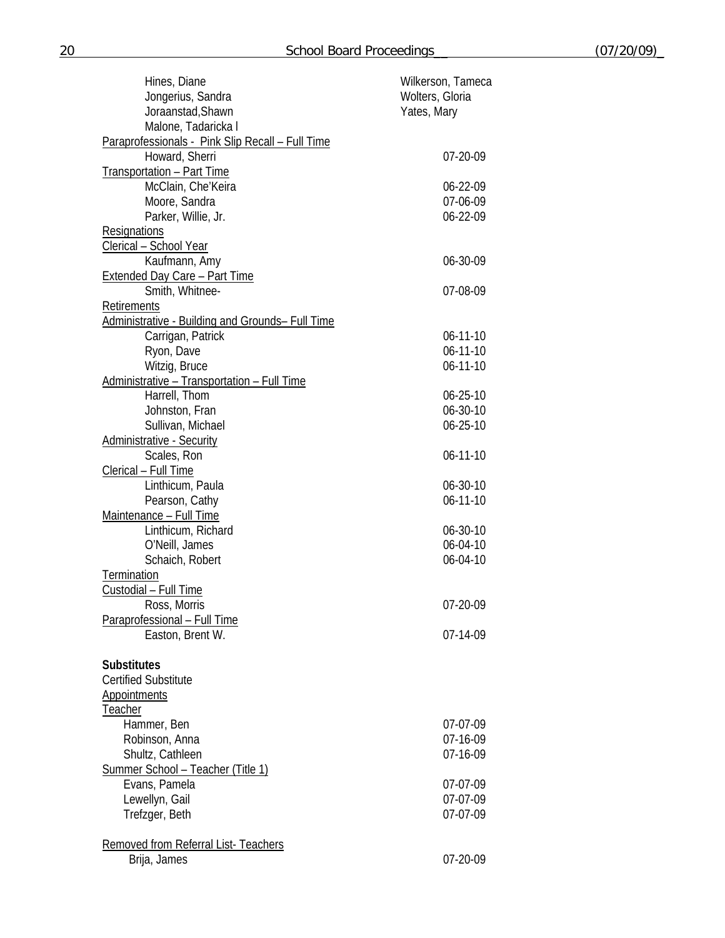| Hines, Diane                                                          | Wilkerson, Tameca |
|-----------------------------------------------------------------------|-------------------|
| Jongerius, Sandra                                                     | Wolters, Gloria   |
| Joraanstad, Shawn                                                     | Yates, Mary       |
| Malone, Tadaricka I                                                   |                   |
| Paraprofessionals - Pink Slip Recall - Full Time                      |                   |
| Howard, Sherri                                                        | 07-20-09          |
| Transportation - Part Time                                            |                   |
| McClain, Che'Keira                                                    | 06-22-09          |
| Moore, Sandra                                                         | 07-06-09          |
| Parker, Willie, Jr.                                                   | 06-22-09          |
| Resignations                                                          |                   |
| Clerical - School Year                                                |                   |
| Kaufmann, Amy                                                         | 06-30-09          |
| <b>Extended Day Care - Part Time</b>                                  |                   |
| Smith, Whitnee-                                                       | 07-08-09          |
| Retirements                                                           |                   |
| Administrative - Building and Grounds- Full Time<br>Carrigan, Patrick | $06 - 11 - 10$    |
| Ryon, Dave                                                            | $06 - 11 - 10$    |
| Witzig, Bruce                                                         | $06 - 11 - 10$    |
| Administrative - Transportation - Full Time                           |                   |
| Harrell, Thom                                                         | $06 - 25 - 10$    |
| Johnston, Fran                                                        | 06-30-10          |
| Sullivan, Michael                                                     | $06 - 25 - 10$    |
| <b>Administrative - Security</b>                                      |                   |
| Scales, Ron                                                           | $06 - 11 - 10$    |
| Clerical - Full Time                                                  |                   |
| Linthicum, Paula                                                      | 06-30-10          |
| Pearson, Cathy                                                        | $06 - 11 - 10$    |
| Maintenance - Full Time                                               |                   |
| Linthicum, Richard                                                    | 06-30-10          |
| O'Neill, James                                                        | 06-04-10          |
| Schaich, Robert                                                       | 06-04-10          |
| Termination                                                           |                   |
| Custodial - Full Time                                                 |                   |
| Ross, Morris                                                          | $07-20-09$        |
| Paraprofessional - Full Time                                          |                   |
| Easton, Brent W.                                                      | 07-14-09          |
|                                                                       |                   |
| <b>Substitutes</b>                                                    |                   |
| <b>Certified Substitute</b>                                           |                   |
| <b>Appointments</b>                                                   |                   |
| <b>Teacher</b>                                                        |                   |
| Hammer, Ben                                                           | 07-07-09          |
| Robinson, Anna                                                        | 07-16-09          |
| Shultz, Cathleen                                                      | 07-16-09          |
| Summer School - Teacher (Title 1)                                     |                   |
| Evans, Pamela                                                         | 07-07-09          |
| Lewellyn, Gail                                                        | 07-07-09          |
| Trefzger, Beth                                                        | 07-07-09          |
|                                                                       |                   |
| <b>Removed from Referral List- Teachers</b><br>Brija, James           | 07-20-09          |
|                                                                       |                   |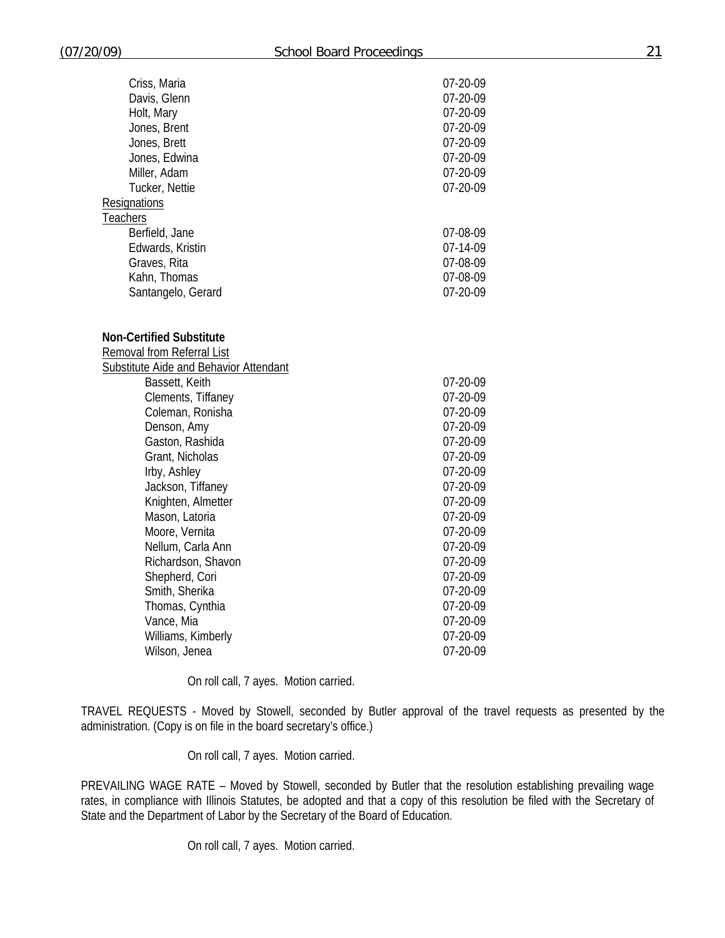| Criss, Maria                                  | 07-20-09 |
|-----------------------------------------------|----------|
| Davis, Glenn                                  | 07-20-09 |
| Holt, Mary                                    | 07-20-09 |
| Jones, Brent                                  | 07-20-09 |
| Jones, Brett                                  | 07-20-09 |
| Jones, Edwina                                 | 07-20-09 |
| Miller, Adam                                  | 07-20-09 |
| Tucker, Nettie                                | 07-20-09 |
| Resignations                                  |          |
| Teachers                                      |          |
| Berfield, Jane                                | 07-08-09 |
| Edwards, Kristin                              | 07-14-09 |
| Graves, Rita                                  | 07-08-09 |
| Kahn, Thomas                                  | 07-08-09 |
| Santangelo, Gerard                            | 07-20-09 |
|                                               |          |
|                                               |          |
| <b>Non-Certified Substitute</b>               |          |
| Removal from Referral List                    |          |
| <b>Substitute Aide and Behavior Attendant</b> |          |
| Bassett, Keith                                | 07-20-09 |
| Clements, Tiffaney                            | 07-20-09 |
| Coleman, Ronisha                              | 07-20-09 |
| Denson, Amy                                   | 07-20-09 |
| Gaston, Rashida                               | 07-20-09 |
| Grant, Nicholas                               | 07-20-09 |
| Irby, Ashley                                  | 07-20-09 |
| Jackson, Tiffaney                             | 07-20-09 |
| Knighten, Almetter                            | 07-20-09 |
| Mason, Latoria                                | 07-20-09 |
| Moore, Vernita                                | 07-20-09 |
| Nellum, Carla Ann                             | 07-20-09 |
| Richardson, Shavon                            | 07-20-09 |
| Shepherd, Cori                                | 07-20-09 |
| Smith, Sherika                                | 07-20-09 |
| Thomas, Cynthia                               | 07-20-09 |
| Vance, Mia                                    | 07-20-09 |
| Williams, Kimberly                            | 07-20-09 |

On roll call, 7 ayes. Motion carried.

Wilson, Jenea 2008 2014 12:30 07-20-09

TRAVEL REQUESTS - Moved by Stowell, seconded by Butler approval of the travel requests as presented by the administration. (Copy is on file in the board secretary's office.)

On roll call, 7 ayes. Motion carried.

PREVAILING WAGE RATE – Moved by Stowell, seconded by Butler that the resolution establishing prevailing wage rates, in compliance with Illinois Statutes, be adopted and that a copy of this resolution be filed with the Secretary of State and the Department of Labor by the Secretary of the Board of Education.

On roll call, 7 ayes. Motion carried.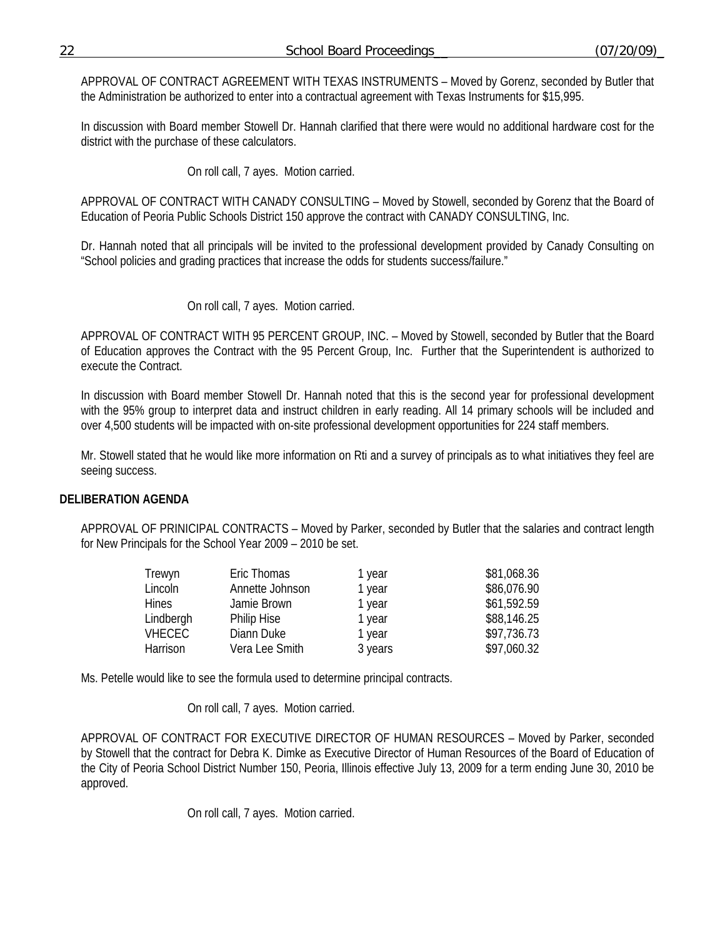APPROVAL OF CONTRACT AGREEMENT WITH TEXAS INSTRUMENTS – Moved by Gorenz, seconded by Butler that the Administration be authorized to enter into a contractual agreement with Texas Instruments for \$15,995.

In discussion with Board member Stowell Dr. Hannah clarified that there were would no additional hardware cost for the district with the purchase of these calculators.

On roll call, 7 ayes. Motion carried.

APPROVAL OF CONTRACT WITH CANADY CONSULTING – Moved by Stowell, seconded by Gorenz that the Board of Education of Peoria Public Schools District 150 approve the contract with CANADY CONSULTING, Inc.

Dr. Hannah noted that all principals will be invited to the professional development provided by Canady Consulting on "School policies and grading practices that increase the odds for students success/failure."

On roll call, 7 ayes. Motion carried.

APPROVAL OF CONTRACT WITH 95 PERCENT GROUP, INC. – Moved by Stowell, seconded by Butler that the Board of Education approves the Contract with the 95 Percent Group, Inc. Further that the Superintendent is authorized to execute the Contract.

In discussion with Board member Stowell Dr. Hannah noted that this is the second year for professional development with the 95% group to interpret data and instruct children in early reading. All 14 primary schools will be included and over 4,500 students will be impacted with on-site professional development opportunities for 224 staff members.

Mr. Stowell stated that he would like more information on Rti and a survey of principals as to what initiatives they feel are seeing success.

### **DELIBERATION AGENDA**

APPROVAL OF PRINICIPAL CONTRACTS – Moved by Parker, seconded by Butler that the salaries and contract length for New Principals for the School Year 2009 – 2010 be set.

| Trewyn        | Eric Thomas        | 1 year  | \$81,068.36 |
|---------------|--------------------|---------|-------------|
| Lincoln       | Annette Johnson    | 1 year  | \$86,076.90 |
| <b>Hines</b>  | Jamie Brown        | 1 year  | \$61,592.59 |
| Lindbergh     | <b>Philip Hise</b> | 1 year  | \$88,146.25 |
| <b>VHECEC</b> | Diann Duke         | 1 year  | \$97,736.73 |
| Harrison      | Vera Lee Smith     | 3 years | \$97,060.32 |

Ms. Petelle would like to see the formula used to determine principal contracts.

On roll call, 7 ayes. Motion carried.

APPROVAL OF CONTRACT FOR EXECUTIVE DIRECTOR OF HUMAN RESOURCES – Moved by Parker, seconded by Stowell that the contract for Debra K. Dimke as Executive Director of Human Resources of the Board of Education of the City of Peoria School District Number 150, Peoria, Illinois effective July 13, 2009 for a term ending June 30, 2010 be approved.

On roll call, 7 ayes. Motion carried.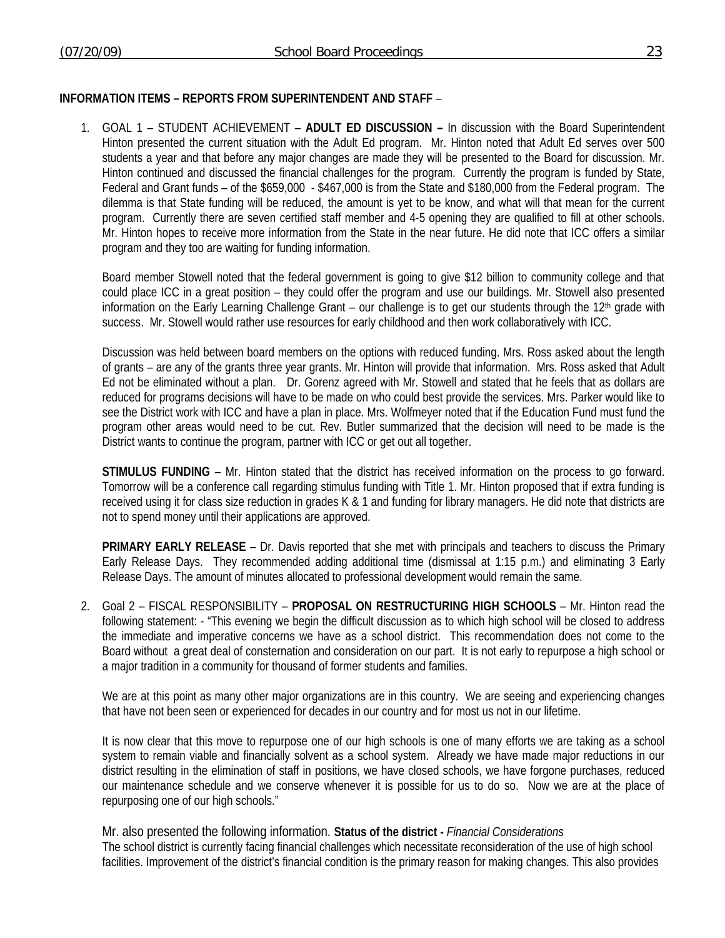## **INFORMATION ITEMS – REPORTS FROM SUPERINTENDENT AND STAFF** –

1. GOAL 1 – STUDENT ACHIEVEMENT – **ADULT ED DISCUSSION –** In discussion with the Board Superintendent Hinton presented the current situation with the Adult Ed program. Mr. Hinton noted that Adult Ed serves over 500 students a year and that before any major changes are made they will be presented to the Board for discussion. Mr. Hinton continued and discussed the financial challenges for the program. Currently the program is funded by State, Federal and Grant funds – of the \$659,000 - \$467,000 is from the State and \$180,000 from the Federal program. The dilemma is that State funding will be reduced, the amount is yet to be know, and what will that mean for the current program. Currently there are seven certified staff member and 4-5 opening they are qualified to fill at other schools. Mr. Hinton hopes to receive more information from the State in the near future. He did note that ICC offers a similar program and they too are waiting for funding information.

Board member Stowell noted that the federal government is going to give \$12 billion to community college and that could place ICC in a great position – they could offer the program and use our buildings. Mr. Stowell also presented information on the Early Learning Challenge Grant – our challenge is to get our students through the  $12<sup>th</sup>$  grade with success. Mr. Stowell would rather use resources for early childhood and then work collaboratively with ICC.

Discussion was held between board members on the options with reduced funding. Mrs. Ross asked about the length of grants – are any of the grants three year grants. Mr. Hinton will provide that information. Mrs. Ross asked that Adult Ed not be eliminated without a plan. Dr. Gorenz agreed with Mr. Stowell and stated that he feels that as dollars are reduced for programs decisions will have to be made on who could best provide the services. Mrs. Parker would like to see the District work with ICC and have a plan in place. Mrs. Wolfmeyer noted that if the Education Fund must fund the program other areas would need to be cut. Rev. Butler summarized that the decision will need to be made is the District wants to continue the program, partner with ICC or get out all together.

**STIMULUS FUNDING** – Mr. Hinton stated that the district has received information on the process to go forward. Tomorrow will be a conference call regarding stimulus funding with Title 1. Mr. Hinton proposed that if extra funding is received using it for class size reduction in grades K & 1 and funding for library managers. He did note that districts are not to spend money until their applications are approved.

**PRIMARY EARLY RELEASE** – Dr. Davis reported that she met with principals and teachers to discuss the Primary Early Release Days. They recommended adding additional time (dismissal at 1:15 p.m.) and eliminating 3 Early Release Days. The amount of minutes allocated to professional development would remain the same.

2. Goal 2 – FISCAL RESPONSIBILITY – **PROPOSAL ON RESTRUCTURING HIGH SCHOOLS** – Mr. Hinton read the following statement: - "This evening we begin the difficult discussion as to which high school will be closed to address the immediate and imperative concerns we have as a school district. This recommendation does not come to the Board without a great deal of consternation and consideration on our part. It is not early to repurpose a high school or a major tradition in a community for thousand of former students and families.

We are at this point as many other major organizations are in this country. We are seeing and experiencing changes that have not been seen or experienced for decades in our country and for most us not in our lifetime.

It is now clear that this move to repurpose one of our high schools is one of many efforts we are taking as a school system to remain viable and financially solvent as a school system. Already we have made major reductions in our district resulting in the elimination of staff in positions, we have closed schools, we have forgone purchases, reduced our maintenance schedule and we conserve whenever it is possible for us to do so. Now we are at the place of repurposing one of our high schools."

Mr. also presented the following information. **Status of the district -** *Financial Considerations*  The school district is currently facing financial challenges which necessitate reconsideration of the use of high school facilities. Improvement of the district's financial condition is the primary reason for making changes. This also provides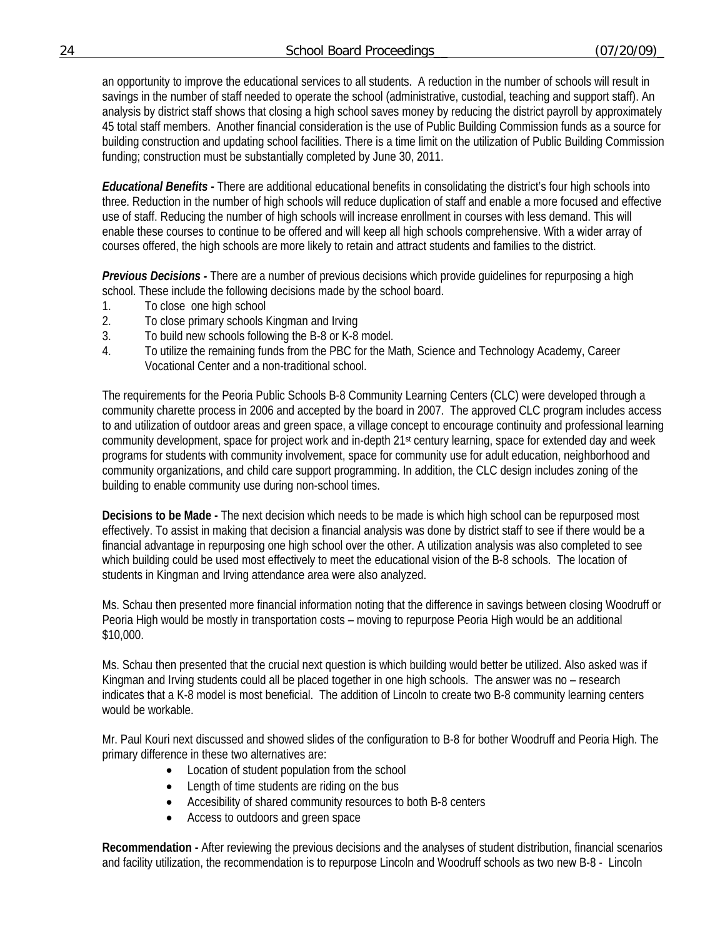an opportunity to improve the educational services to all students. A reduction in the number of schools will result in savings in the number of staff needed to operate the school (administrative, custodial, teaching and support staff). An analysis by district staff shows that closing a high school saves money by reducing the district payroll by approximately 45 total staff members. Another financial consideration is the use of Public Building Commission funds as a source for building construction and updating school facilities. There is a time limit on the utilization of Public Building Commission funding; construction must be substantially completed by June 30, 2011.

*Educational Benefits -* There are additional educational benefits in consolidating the district's four high schools into three. Reduction in the number of high schools will reduce duplication of staff and enable a more focused and effective use of staff. Reducing the number of high schools will increase enrollment in courses with less demand. This will enable these courses to continue to be offered and will keep all high schools comprehensive. With a wider array of courses offered, the high schools are more likely to retain and attract students and families to the district.

*Previous Decisions -* There are a number of previous decisions which provide guidelines for repurposing a high school. These include the following decisions made by the school board.

- 1. To close one high school
- 2. To close primary schools Kingman and Irving
- 3. To build new schools following the B-8 or K-8 model.
- 4. To utilize the remaining funds from the PBC for the Math, Science and Technology Academy, Career Vocational Center and a non-traditional school.

The requirements for the Peoria Public Schools B-8 Community Learning Centers (CLC) were developed through a community charette process in 2006 and accepted by the board in 2007. The approved CLC program includes access to and utilization of outdoor areas and green space, a village concept to encourage continuity and professional learning community development, space for project work and in-depth 21st century learning, space for extended day and week programs for students with community involvement, space for community use for adult education, neighborhood and community organizations, and child care support programming. In addition, the CLC design includes zoning of the building to enable community use during non-school times.

**Decisions to be Made -** The next decision which needs to be made is which high school can be repurposed most effectively. To assist in making that decision a financial analysis was done by district staff to see if there would be a financial advantage in repurposing one high school over the other. A utilization analysis was also completed to see which building could be used most effectively to meet the educational vision of the B-8 schools. The location of students in Kingman and Irving attendance area were also analyzed.

Ms. Schau then presented more financial information noting that the difference in savings between closing Woodruff or Peoria High would be mostly in transportation costs – moving to repurpose Peoria High would be an additional \$10,000.

Ms. Schau then presented that the crucial next question is which building would better be utilized. Also asked was if Kingman and Irving students could all be placed together in one high schools. The answer was no – research indicates that a K-8 model is most beneficial. The addition of Lincoln to create two B-8 community learning centers would be workable.

Mr. Paul Kouri next discussed and showed slides of the configuration to B-8 for bother Woodruff and Peoria High. The primary difference in these two alternatives are:

- Location of student population from the school
- Length of time students are riding on the bus
- Accesibility of shared community resources to both B-8 centers
- Access to outdoors and green space

**Recommendation -** After reviewing the previous decisions and the analyses of student distribution, financial scenarios and facility utilization, the recommendation is to repurpose Lincoln and Woodruff schools as two new B-8 - Lincoln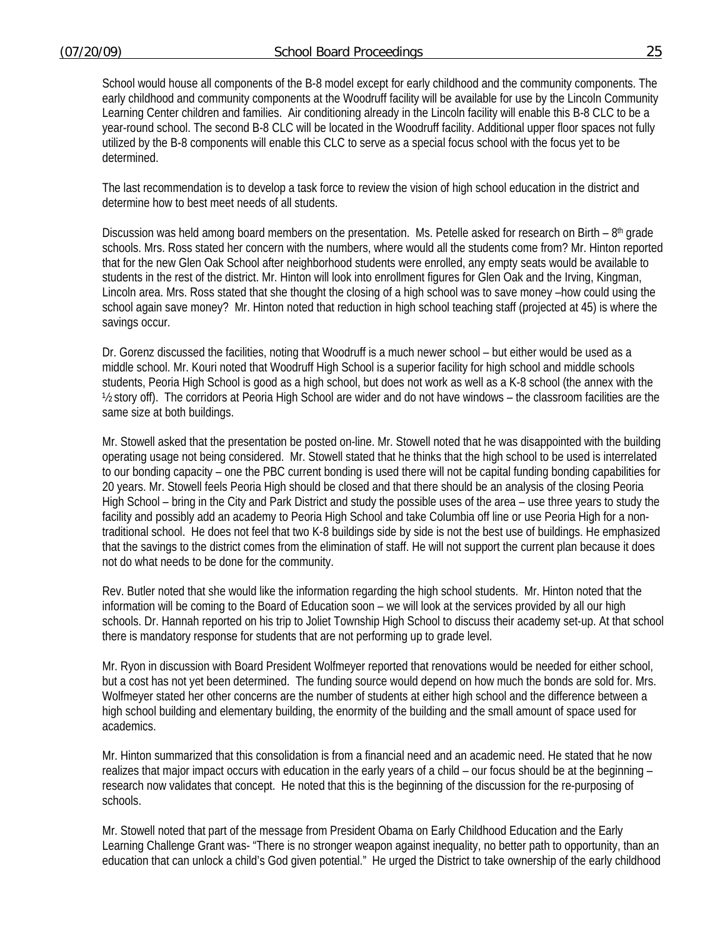School would house all components of the B-8 model except for early childhood and the community components. The early childhood and community components at the Woodruff facility will be available for use by the Lincoln Community Learning Center children and families. Air conditioning already in the Lincoln facility will enable this B-8 CLC to be a year-round school. The second B-8 CLC will be located in the Woodruff facility. Additional upper floor spaces not fully utilized by the B-8 components will enable this CLC to serve as a special focus school with the focus yet to be determined.

The last recommendation is to develop a task force to review the vision of high school education in the district and determine how to best meet needs of all students.

Discussion was held among board members on the presentation. Ms. Petelle asked for research on Birth – 8<sup>th</sup> grade schools. Mrs. Ross stated her concern with the numbers, where would all the students come from? Mr. Hinton reported that for the new Glen Oak School after neighborhood students were enrolled, any empty seats would be available to students in the rest of the district. Mr. Hinton will look into enrollment figures for Glen Oak and the Irving, Kingman, Lincoln area. Mrs. Ross stated that she thought the closing of a high school was to save money –how could using the school again save money? Mr. Hinton noted that reduction in high school teaching staff (projected at 45) is where the savings occur.

Dr. Gorenz discussed the facilities, noting that Woodruff is a much newer school – but either would be used as a middle school. Mr. Kouri noted that Woodruff High School is a superior facility for high school and middle schools students, Peoria High School is good as a high school, but does not work as well as a K-8 school (the annex with the ½ story off). The corridors at Peoria High School are wider and do not have windows – the classroom facilities are the same size at both buildings.

Mr. Stowell asked that the presentation be posted on-line. Mr. Stowell noted that he was disappointed with the building operating usage not being considered. Mr. Stowell stated that he thinks that the high school to be used is interrelated to our bonding capacity – one the PBC current bonding is used there will not be capital funding bonding capabilities for 20 years. Mr. Stowell feels Peoria High should be closed and that there should be an analysis of the closing Peoria High School – bring in the City and Park District and study the possible uses of the area – use three years to study the facility and possibly add an academy to Peoria High School and take Columbia off line or use Peoria High for a nontraditional school. He does not feel that two K-8 buildings side by side is not the best use of buildings. He emphasized that the savings to the district comes from the elimination of staff. He will not support the current plan because it does not do what needs to be done for the community.

Rev. Butler noted that she would like the information regarding the high school students. Mr. Hinton noted that the information will be coming to the Board of Education soon – we will look at the services provided by all our high schools. Dr. Hannah reported on his trip to Joliet Township High School to discuss their academy set-up. At that school there is mandatory response for students that are not performing up to grade level.

Mr. Ryon in discussion with Board President Wolfmeyer reported that renovations would be needed for either school, but a cost has not yet been determined. The funding source would depend on how much the bonds are sold for. Mrs. Wolfmeyer stated her other concerns are the number of students at either high school and the difference between a high school building and elementary building, the enormity of the building and the small amount of space used for academics.

Mr. Hinton summarized that this consolidation is from a financial need and an academic need. He stated that he now realizes that major impact occurs with education in the early years of a child – our focus should be at the beginning – research now validates that concept. He noted that this is the beginning of the discussion for the re-purposing of schools.

Mr. Stowell noted that part of the message from President Obama on Early Childhood Education and the Early Learning Challenge Grant was- "There is no stronger weapon against inequality, no better path to opportunity, than an education that can unlock a child's God given potential." He urged the District to take ownership of the early childhood